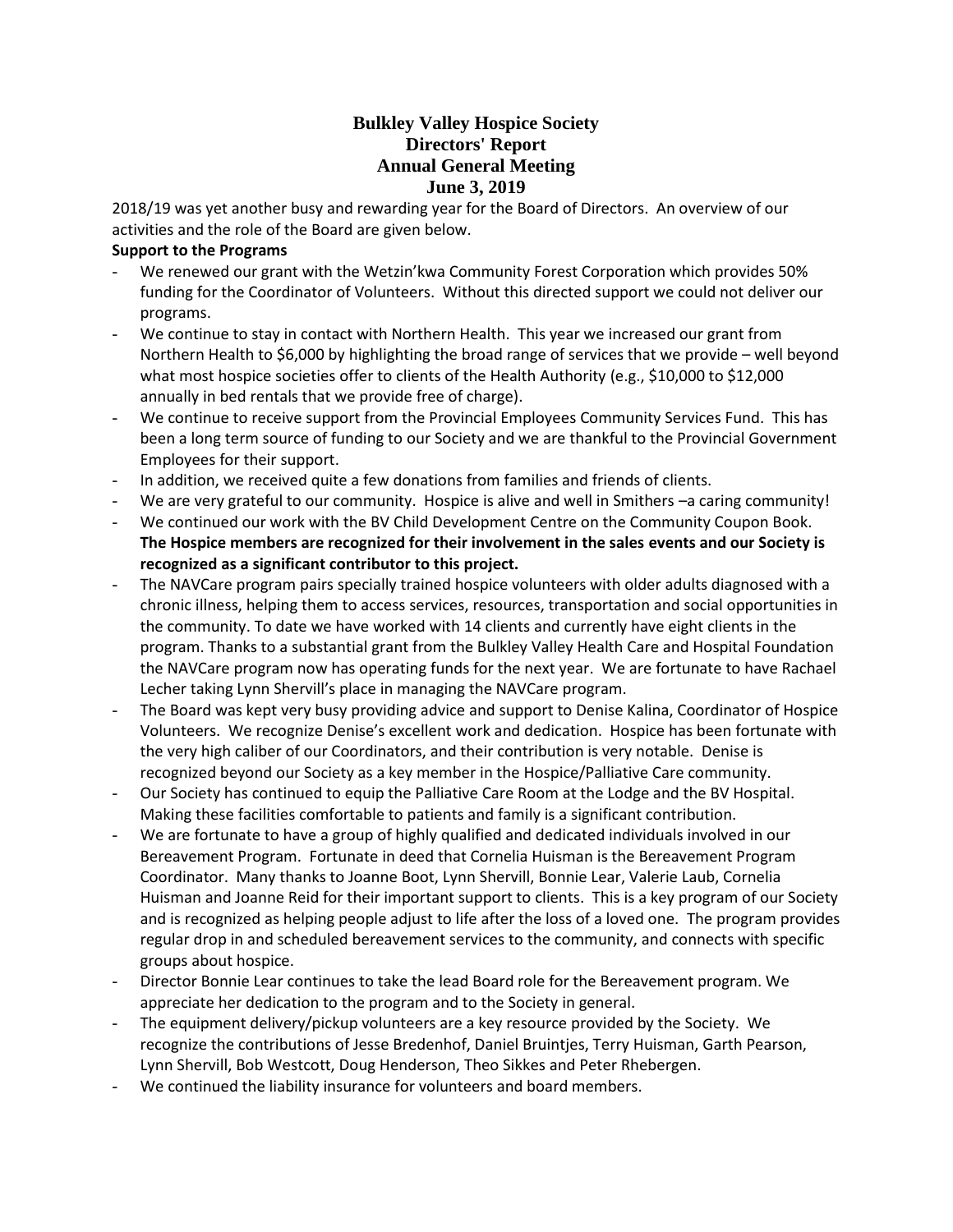# **Bulkley Valley Hospice Society Directors' Report Annual General Meeting June 3, 2019**

2018/19 was yet another busy and rewarding year for the Board of Directors. An overview of our activities and the role of the Board are given below.

## **Support to the Programs**

- We renewed our grant with the Wetzin'kwa Community Forest Corporation which provides 50% funding for the Coordinator of Volunteers. Without this directed support we could not deliver our programs.
- We continue to stay in contact with Northern Health. This year we increased our grant from Northern Health to \$6,000 by highlighting the broad range of services that we provide – well beyond what most hospice societies offer to clients of the Health Authority (e.g., \$10,000 to \$12,000 annually in bed rentals that we provide free of charge).
- We continue to receive support from the Provincial Employees Community Services Fund. This has been a long term source of funding to our Society and we are thankful to the Provincial Government Employees for their support.
- In addition, we received quite a few donations from families and friends of clients.
- We are very grateful to our community. Hospice is alive and well in Smithers –a caring community!
- We continued our work with the BV Child Development Centre on the Community Coupon Book. **The Hospice members are recognized for their involvement in the sales events and our Society is recognized as a significant contributor to this project.**
- The NAVCare program pairs specially trained hospice volunteers with older adults diagnosed with a chronic illness, helping them to access services, resources, transportation and social opportunities in the community. To date we have worked with 14 clients and currently have eight clients in the program. Thanks to a substantial grant from the Bulkley Valley Health Care and Hospital Foundation the NAVCare program now has operating funds for the next year. We are fortunate to have Rachael Lecher taking Lynn Shervill's place in managing the NAVCare program.
- The Board was kept very busy providing advice and support to Denise Kalina, Coordinator of Hospice Volunteers. We recognize Denise's excellent work and dedication. Hospice has been fortunate with the very high caliber of our Coordinators, and their contribution is very notable. Denise is recognized beyond our Society as a key member in the Hospice/Palliative Care community.
- Our Society has continued to equip the Palliative Care Room at the Lodge and the BV Hospital. Making these facilities comfortable to patients and family is a significant contribution.
- We are fortunate to have a group of highly qualified and dedicated individuals involved in our Bereavement Program. Fortunate in deed that Cornelia Huisman is the Bereavement Program Coordinator. Many thanks to Joanne Boot, Lynn Shervill, Bonnie Lear, Valerie Laub, Cornelia Huisman and Joanne Reid for their important support to clients. This is a key program of our Society and is recognized as helping people adjust to life after the loss of a loved one. The program provides regular drop in and scheduled bereavement services to the community, and connects with specific groups about hospice.
- Director Bonnie Lear continues to take the lead Board role for the Bereavement program. We appreciate her dedication to the program and to the Society in general.
- The equipment delivery/pickup volunteers are a key resource provided by the Society. We recognize the contributions of Jesse Bredenhof, Daniel Bruintjes, Terry Huisman, Garth Pearson, Lynn Shervill, Bob Westcott, Doug Henderson, Theo Sikkes and Peter Rhebergen.
- We continued the liability insurance for volunteers and board members.